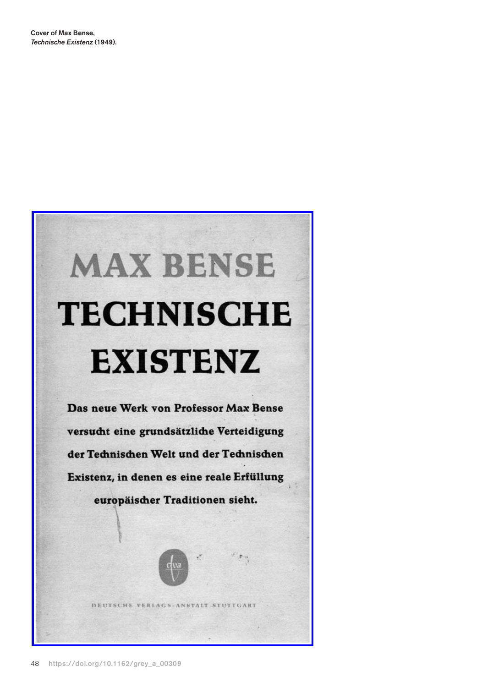**Cover of Max Bense,** *Technische Existenz* **(1949).**

# **MAX BENSE TECHNISCHE EXISTENZ**

Das neue Werk von Professor Max Bense versucht eine grundsätzliche Verteidigung der Technischen Welt und der Technischen Existenz, in denen es eine reale Erfüllung europäischer Traditionen sieht.



DEUTSCHE VERLAGS TALT STUTTGART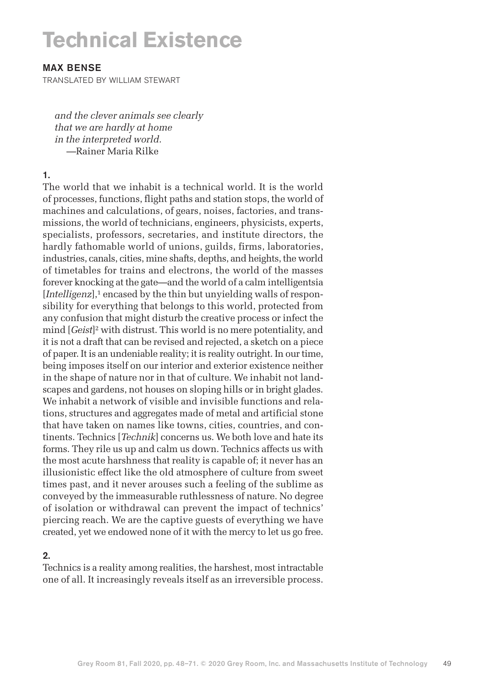## **Technical Existence**

#### **MAX BENSE**

TRANSLATED BY WILLIAM STEWART

*and the clever animals see clearly that we are hardly at home in the interpreted world.* —Rainer Maria Rilke

#### **1.**

The world that we inhabit is a technical world. It is the world of processes, functions, flight paths and station stops, the world of machines and calculations, of gears, noises, factories, and transmissions, the world of technicians, engineers, physicists, experts, specialists, professors, secretaries, and institute directors, the hardly fathomable world of unions, guilds, firms, laboratories, industries, canals, cities, mine shafts, depths, and heights, the world of timetables for trains and electrons, the world of the masses forever knocking at the gate—and the world of a calm intelligentsia [*Intelligenz*],<sup>1</sup> encased by the thin but unyielding walls of responsibility for everything that belongs to this world, protected from any confusion that might disturb the creative process or infect the mind [*Geist*]2 with distrust. This world is no mere potentiality, and it is not a draft that can be revised and rejected, a sketch on a piece of paper. It is an undeniable reality; it is reality outright. In our time, being imposes itself on our interior and exterior existence neither in the shape of nature nor in that of culture. We inhabit not landscapes and gardens, not houses on sloping hills or in bright glades. We inhabit a network of visible and invisible functions and relations, structures and aggregates made of metal and artificial stone that have taken on names like towns, cities, countries, and continents. Technics [*Technik*] concerns us. We both love and hate its forms. They rile us up and calm us down. Technics affects us with the most acute harshness that reality is capable of; it never has an illusionistic effect like the old atmosphere of culture from sweet times past, and it never arouses such a feeling of the sublime as conveyed by the immeasurable ruthlessness of nature. No degree of isolation or withdrawal can prevent the impact of technics' piercing reach. We are the captive guests of everything we have created, yet we endowed none of it with the mercy to let us go free.

#### **2.**

Technics is a reality among realities, the harshest, most intractable one of all. It increasingly reveals itself as an irreversible process.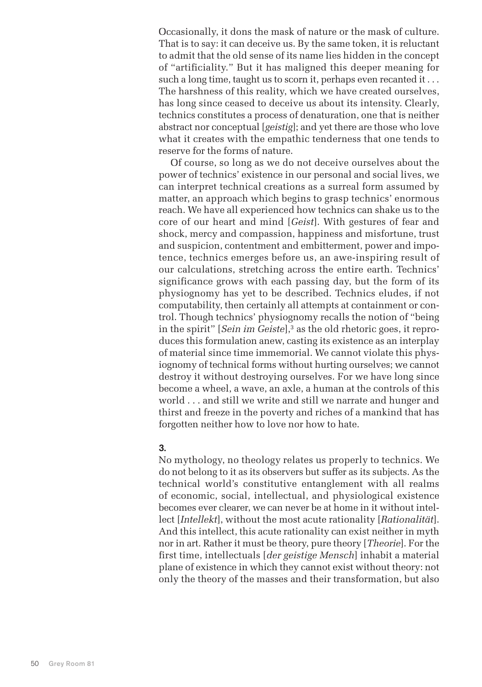Occasionally, it dons the mask of nature or the mask of culture. That is to say: it can deceive us. By the same token, it is reluctant to admit that the old sense of its name lies hidden in the concept of "artificiality." But it has maligned this deeper meaning for such a long time, taught us to scorn it, perhaps even recanted it ... The harshness of this reality, which we have created ourselves, has long since ceased to deceive us about its intensity. Clearly, technics constitutes a process of denaturation, one that is neither abstract nor conceptual [*geistig*]; and yet there are those who love what it creates with the empathic tenderness that one tends to reserve for the forms of nature.

Of course, so long as we do not deceive ourselves about the power of technics' existence in our personal and social lives, we can interpret technical creations as a surreal form assumed by matter, an approach which begins to grasp technics' enormous reach. We have all experienced how technics can shake us to the core of our heart and mind [*Geist*]. With gestures of fear and shock, mercy and compassion, happiness and misfortune, trust and suspicion, contentment and embitterment, power and impotence, technics emerges before us, an awe-inspiring result of our calculations, stretching across the entire earth. Technics' significance grows with each passing day, but the form of its physiognomy has yet to be described. Technics eludes, if not computability, then certainly all attempts at containment or control. Though technics' physiognomy recalls the notion of "being in the spirit" [*Sein im Geiste*],<sup>3</sup> as the old rhetoric goes, it reproduces this formulation anew, casting its existence as an interplay of material since time immemorial. We cannot violate this physiognomy of technical forms without hurting ourselves; we cannot destroy it without destroying ourselves. For we have long since become a wheel, a wave, an axle, a human at the controls of this world . . . and still we write and still we narrate and hunger and thirst and freeze in the poverty and riches of a mankind that has forgotten neither how to love nor how to hate.

#### **3.**

No mythology, no theology relates us properly to technics. We do not belong to it as its observers but suffer as its subjects. As the technical world's constitutive entanglement with all realms of economic, social, intellectual, and physiological existence becomes ever clearer, we can never be at home in it without intellect [*Intellekt*], without the most acute rationality [*Rationalität*]. And this intellect, this acute rationality can exist neither in myth nor in art. Rather it must be theory, pure theory [*Theorie*]. For the first time, intellectuals [*der geistige Mensch*] inhabit a material plane of existence in which they cannot exist without theory: not only the theory of the masses and their transformation, but also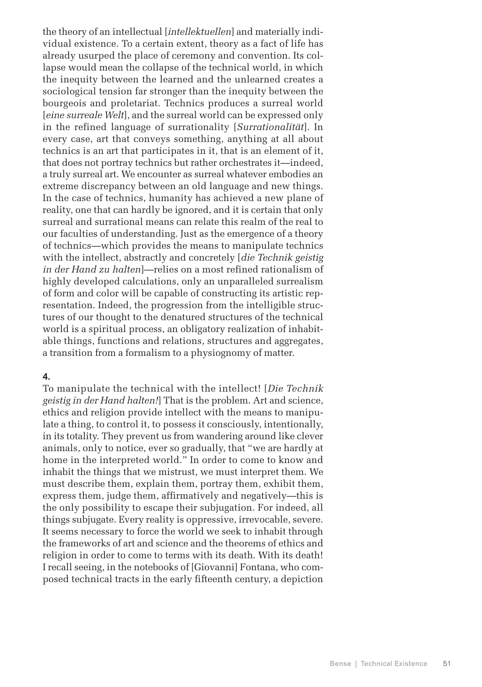the theory of an intellectual [*intellektuellen*] and materially individual existence. To a certain extent, theory as a fact of life has already usurped the place of ceremony and convention. Its collapse would mean the collapse of the technical world, in which the inequity between the learned and the unlearned creates a sociological tension far stronger than the inequity between the bourgeois and proletariat. Technics produces a surreal world [*eine surreale Welt*], and the surreal world can be expressed only in the refined language of surrationality [*Surrationalität*]. In every case, art that conveys something, anything at all about technics is an art that participates in it, that is an element of it, that does not portray technics but rather orchestrates it—indeed, a truly surreal art. We encounter as surreal whatever embodies an extreme discrepancy between an old language and new things. In the case of technics, humanity has achieved a new plane of reality, one that can hardly be ignored, and it is certain that only surreal and surrational means can relate this realm of the real to our faculties of understanding. Just as the emergence of a theory of technics—which provides the means to manipulate technics with the intellect, abstractly and concretely [*die Technik geistig in der Hand zu halten*]—relies on a most refined rationalism of highly developed calculations, only an unparalleled surrealism of form and color will be capable of constructing its artistic representation. Indeed, the progression from the intelligible structures of our thought to the denatured structures of the technical world is a spiritual process, an obligatory realization of inhabitable things, functions and relations, structures and aggregates, a transition from a formalism to a physiognomy of matter.

#### **4.**

To manipulate the technical with the intellect! [*Die Technik geistig in der Hand halten!*] That is the problem. Art and science, ethics and religion provide intellect with the means to manipulate a thing, to control it, to possess it consciously, intentionally, in its totality. They prevent us from wandering around like clever animals, only to notice, ever so gradually, that "we are hardly at home in the interpreted world." In order to come to know and inhabit the things that we mistrust, we must interpret them. We must describe them, explain them, portray them, exhibit them, express them, judge them, affirmatively and negatively—this is the only possibility to escape their subjugation. For indeed, all things subjugate. Every reality is oppressive, irrevocable, severe. It seems necessary to force the world we seek to inhabit through the frameworks of art and science and the theorems of ethics and religion in order to come to terms with its death. With its death! I recall seeing, in the notebooks of [Giovanni] Fontana, who composed technical tracts in the early fifteenth century, a depiction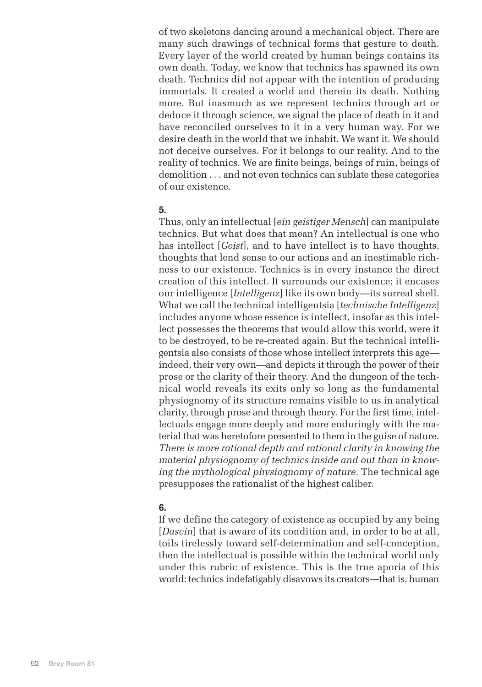of two skeletons dancing around a mechanical object. There are many such drawings of technical forms that gesture to death. Every layer of the world created by human beings contains its own death. Today, we know that technics has spawned its own death. Technics did not appear with the intention of producing immortals. It created a world and therein its death. Nothing more. But inasmuch as we represent technics through art or deduce it through science, we signal the place of death in it and have reconciled ourselves to it in a very human way. For we desire death in the world that we inhabit. We want it. We should not deceive ourselves. For it belongs to our reality. And to the reality of technics. We are finite beings, beings of ruin, beings of demolition . . . and not even technics can sublate these categories of our existence.

#### **5.**

Thus, only an intellectual [*ein geistiger Mensch*] can manipulate technics. But what does that mean? An intellectual is one who has intellect [*Geist*], and to have intellect is to have thoughts, thoughts that lend sense to our actions and an inestimable richness to our existence. Technics is in every instance the direct creation of this intellect. It surrounds our existence; it encases our intelligence [*Intelligenz*] like its own body—its surreal shell. What we call the technical intelligentsia [*technische Intelligenz*] includes anyone whose essence is intellect, insofar as this intellect possesses the theorems that would allow this world, were it to be destroyed, to be re-created again. But the technical intelligentsia also consists of those whose intellect interprets this age indeed, their very own—and depicts it through the power of their prose or the clarity of their theory. And the dungeon of the technical world reveals its exits only so long as the fundamental physiognomy of its structure remains visible to us in analytical clarity, through prose and through theory. For the first time, intellectuals engage more deeply and more enduringly with the material that was heretofore presented to them in the guise of nature. *There is more rational depth and rational clarity in knowing the material physiognomy of technics inside and out than in knowing the mythological physiognomy of nature.* The technical age presupposes the rationalist of the highest caliber.

#### **6.**

If we define the category of existence as occupied by any being [*Dasein*] that is aware of its condition and, in order to be at all. toils tirelessly toward self-determination and self-conception, then the intellectual is possible within the technical world only under this rubric of existence. This is the true aporia of this world: technics indefatigably disavows its creators—that is, human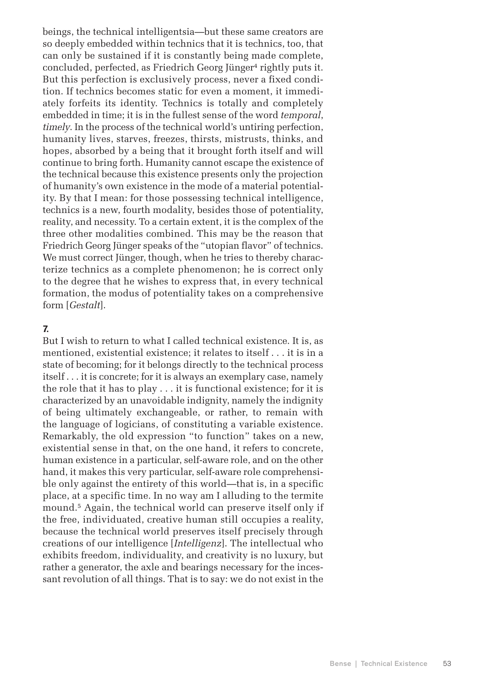beings, the technical intelligentsia—but these same creators are so deeply embedded within technics that it is technics, too, that can only be sustained if it is constantly being made complete, concluded, perfected, as Friedrich Georg Jünger<sup>4</sup> rightly puts it. But this perfection is exclusively process, never a fixed condition. If technics becomes static for even a moment, it immediately forfeits its identity. Technics is totally and completely embedded in time; it is in the fullest sense of the word *temporal*, *timely*. In the process of the technical world's untiring perfection, humanity lives, starves, freezes, thirsts, mistrusts, thinks, and hopes, absorbed by a being that it brought forth itself and will continue to bring forth. Humanity cannot escape the existence of the technical because this existence presents only the projection of humanity's own existence in the mode of a material potentiality. By that I mean: for those possessing technical intelligence, technics is a new, fourth modality, besides those of potentiality, reality, and necessity. To a certain extent, it is the complex of the three other modalities combined. This may be the reason that Friedrich Georg Jünger speaks of the "utopian flavor" of technics. We must correct Jünger, though, when he tries to thereby characterize technics as a complete phenomenon; he is correct only to the degree that he wishes to express that, in every technical formation, the modus of potentiality takes on a comprehensive form [*Gestalt*].

#### **7.**

But I wish to return to what I called technical existence. It is, as mentioned, existential existence; it relates to itself . . . it is in a state of becoming; for it belongs directly to the technical process itself . . . it is concrete; for it is always an exemplary case, namely the role that it has to play . . . it is functional existence; for it is characterized by an unavoidable indignity, namely the indignity of being ultimately exchangeable, or rather, to remain with the language of logicians, of constituting a variable existence. Remarkably, the old expression "to function" takes on a new, existential sense in that, on the one hand, it refers to concrete, human existence in a particular, self-aware role, and on the other hand, it makes this very particular, self-aware role comprehensible only against the entirety of this world—that is, in a specific place, at a specific time. In no way am I alluding to the termite mound.5 Again, the technical world can preserve itself only if the free, individuated, creative human still occupies a reality, because the technical world preserves itself precisely through creations of our intelligence [*Intelligenz*]. The intellectual who exhibits freedom, individuality, and creativity is no luxury, but rather a generator, the axle and bearings necessary for the incessant revolution of all things. That is to say: we do not exist in the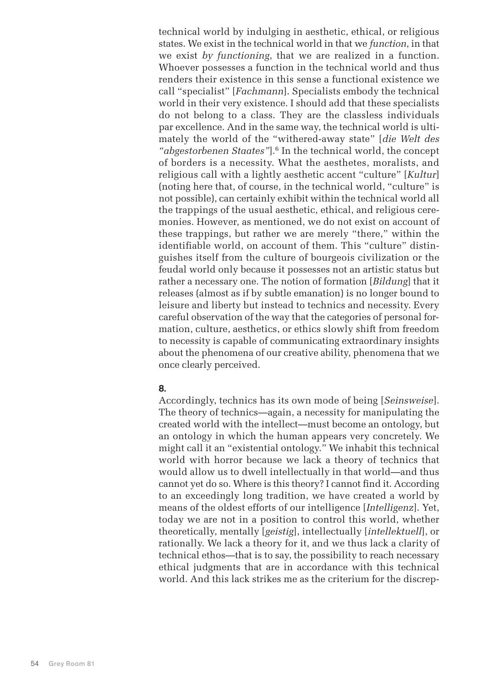technical world by indulging in aesthetic, ethical, or religious states. We exist in the technical world in that we *function*, in that we exist *by functioning*, that we are realized in a function. Whoever possesses a function in the technical world and thus renders their existence in this sense a functional existence we call "specialist" [*Fachmann*]. Specialists embody the technical world in their very existence. I should add that these specialists do not belong to a class. They are the classless individuals par excellence. And in the same way, the technical world is ultimately the world of the "withered-away state" [*die Welt des "abgestorbenen Staates"*].6 In the technical world, the concept of borders is a necessity. What the aesthetes, moralists, and religious call with a lightly aesthetic accent "culture" [*Kultur*] (noting here that, of course, in the technical world, "culture" is not possible), can certainly exhibit within the technical world all the trappings of the usual aesthetic, ethical, and religious ceremonies. However, as mentioned, we do not exist on account of these trappings, but rather we are merely "there," within the identifiable world, on account of them. This "culture" distinguishes itself from the culture of bourgeois civilization or the feudal world only because it possesses not an artistic status but rather a necessary one. The notion of formation [*Bildung*] that it releases (almost as if by subtle emanation) is no longer bound to leisure and liberty but instead to technics and necessity. Every careful observation of the way that the categories of personal formation, culture, aesthetics, or ethics slowly shift from freedom to necessity is capable of communicating extraordinary insights about the phenomena of our creative ability, phenomena that we once clearly perceived.

#### **8.**

Accordingly, technics has its own mode of being [*Seinsweise*]. The theory of technics—again, a necessity for manipulating the created world with the intellect—must become an ontology, but an ontology in which the human appears very concretely. We might call it an "existential ontology." We inhabit this technical world with horror because we lack a theory of technics that would allow us to dwell intellectually in that world—and thus cannot yet do so. Where is this theory? I cannot find it. According to an exceedingly long tradition, we have created a world by means of the oldest efforts of our intelligence [*Intelligenz*]. Yet, today we are not in a position to control this world, whether theoretically, mentally [*geistig*], intellectually [*intellektuell*], or rationally. We lack a theory for it, and we thus lack a clarity of technical ethos—that is to say, the possibility to reach necessary ethical judgments that are in accordance with this technical world. And this lack strikes me as the criterium for the discrep-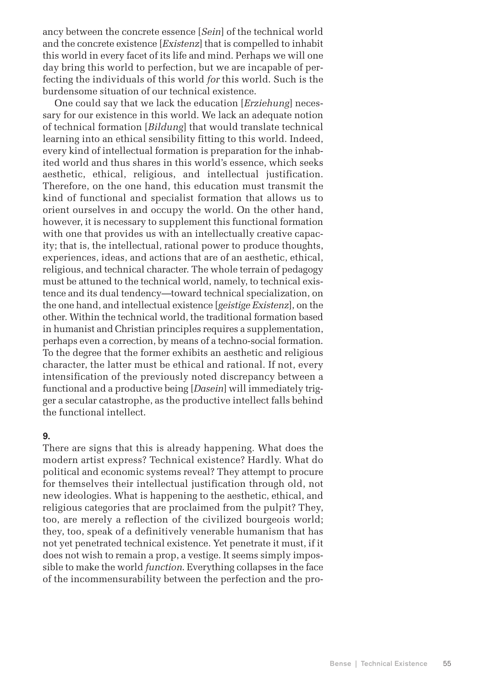ancy between the concrete essence [*Sein*] of the technical world and the concrete existence [*Existenz*] that is compelled to inhabit this world in every facet of its life and mind. Perhaps we will one day bring this world to perfection, but we are incapable of perfecting the individuals of this world *for* this world. Such is the burdensome situation of our technical existence.

One could say that we lack the education [*Erziehung*] necessary for our existence in this world. We lack an adequate notion of technical formation [*Bildung*] that would translate technical learning into an ethical sensibility fitting to this world. Indeed, every kind of intellectual formation is preparation for the inhabited world and thus shares in this world's essence, which seeks aesthetic, ethical, religious, and intellectual justification. Therefore, on the one hand, this education must transmit the kind of functional and specialist formation that allows us to orient ourselves in and occupy the world. On the other hand, however, it is necessary to supplement this functional formation with one that provides us with an intellectually creative capacity; that is, the intellectual, rational power to produce thoughts, experiences, ideas, and actions that are of an aesthetic, ethical, religious, and technical character. The whole terrain of pedagogy must be attuned to the technical world, namely, to technical existence and its dual tendency—toward technical specialization, on the one hand, and intellectual existence [*geistige Existenz*], on the other. Within the technical world, the traditional formation based in humanist and Christian principles requires a supplementation, perhaps even a correction, by means of a techno-social formation. To the degree that the former exhibits an aesthetic and religious character, the latter must be ethical and rational. If not, every intensification of the previously noted discrepancy between a functional and a productive being [*Dasein*] will immediately trigger a secular catastrophe, as the productive intellect falls behind the functional intellect.

#### **9.**

There are signs that this is already happening. What does the modern artist express? Technical existence? Hardly. What do political and economic systems reveal? They attempt to procure for themselves their intellectual justification through old, not new ideologies. What is happening to the aesthetic, ethical, and religious categories that are proclaimed from the pulpit? They, too, are merely a reflection of the civilized bourgeois world; they, too, speak of a definitively venerable humanism that has not yet penetrated technical existence. Yet penetrate it must, if it does not wish to remain a prop, a vestige. It seems simply impossible to make the world *function*. Everything collapses in the face of the incommensurability between the perfection and the pro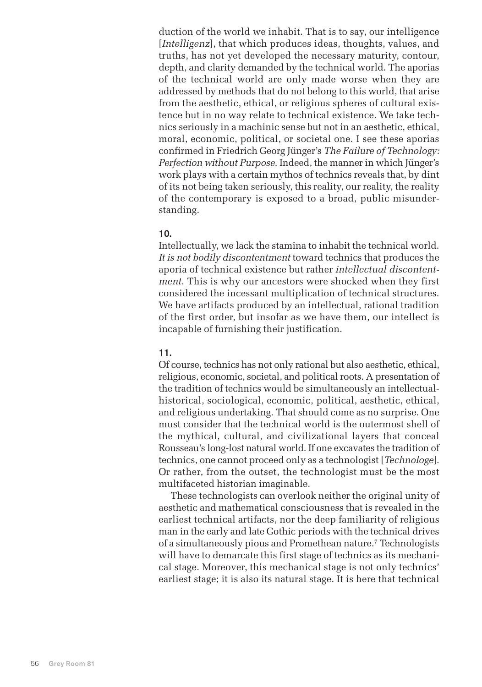duction of the world we inhabit. That is to say, our intelligence [*Intelligenz*], that which produces ideas, thoughts, values, and truths, has not yet developed the necessary maturity, contour, depth, and clarity demanded by the technical world. The aporias of the technical world are only made worse when they are addressed by methods that do not belong to this world, that arise from the aesthetic, ethical, or religious spheres of cultural existence but in no way relate to technical existence. We take technics seriously in a machinic sense but not in an aesthetic, ethical, moral, economic, political, or societal one. I see these aporias confirmed in Friedrich Georg Jünger's *The Failure of Technology: Perfection without Purpose*. Indeed, the manner in which Jünger's work plays with a certain mythos of technics reveals that, by dint of its not being taken seriously, this reality, our reality, the reality of the contemporary is exposed to a broad, public misunderstanding.

#### **10.**

Intellectually, we lack the stamina to inhabit the technical world. *It is not bodily discontentment* toward technics that produces the aporia of technical existence but rather *intellectual discontentment*. This is why our ancestors were shocked when they first considered the incessant multiplication of technical structures. We have artifacts produced by an intellectual, rational tradition of the first order, but insofar as we have them, our intellect is incapable of furnishing their justification.

#### **11.**

Of course, technics has not only rational but also aesthetic, ethical, religious, economic, societal, and political roots. A presentation of the tradition of technics would be simultaneously an intellectualhistorical, sociological, economic, political, aesthetic, ethical, and religious undertaking. That should come as no surprise. One must consider that the technical world is the outermost shell of the mythical, cultural, and civilizational layers that conceal Rousseau's long-lost natural world. If one excavates the tradition of technics, one cannot proceed only as a technologist [*Technologe*]. Or rather, from the outset, the technologist must be the most multifaceted historian imaginable.

These technologists can overlook neither the original unity of aesthetic and mathematical consciousness that is revealed in the earliest technical artifacts, nor the deep familiarity of religious man in the early and late Gothic periods with the technical drives of a simultaneously pious and Promethean nature.7 Technologists will have to demarcate this first stage of technics as its mechanical stage. Moreover, this mechanical stage is not only technics' earliest stage; it is also its natural stage. It is here that technical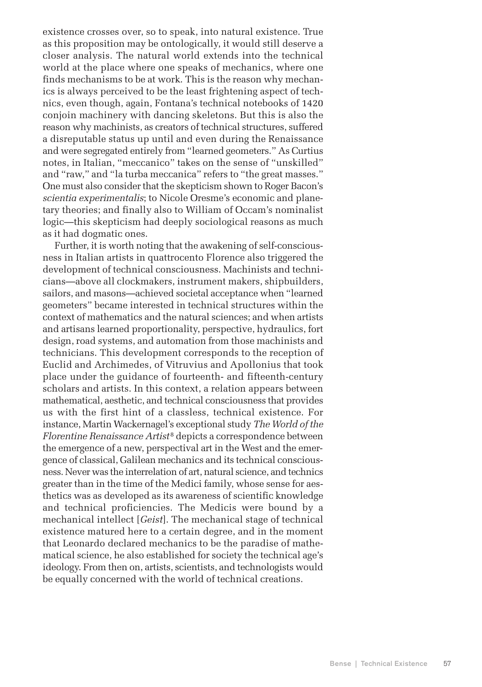existence crosses over, so to speak, into natural existence. True as this proposition may be ontologically, it would still deserve a closer analysis. The natural world extends into the technical world at the place where one speaks of mechanics, where one finds mechanisms to be at work. This is the reason why mechanics is always perceived to be the least frightening aspect of technics, even though, again, Fontana's technical notebooks of 1420 conjoin machinery with dancing skeletons. But this is also the reason why machinists, as creators of technical structures, suffered a disreputable status up until and even during the Renaissance and were segregated entirely from "learned geometers." As Curtius notes, in Italian, "meccanico" takes on the sense of "unskilled" and "raw," and "la turba meccanica" refers to "the great masses." One must also consider that the skepticism shown to Roger Bacon's *scientia experimentalis*; to Nicole Oresme's economic and planetary theories; and finally also to William of Occam's nominalist logic—this skepticism had deeply sociological reasons as much as it had dogmatic ones.

Further, it is worth noting that the awakening of self-consciousness in Italian artists in quattrocento Florence also triggered the development of technical consciousness. Machinists and technicians—above all clockmakers, instrument makers, shipbuilders, sailors, and masons—achieved societal acceptance when "learned geometers" became interested in technical structures within the context of mathematics and the natural sciences; and when artists and artisans learned proportionality, perspective, hydraulics, fort design, road systems, and automation from those machinists and technicians. This development corresponds to the reception of Euclid and Archimedes, of Vitruvius and Apollonius that took place under the guidance of fourteenth- and fifteenth-century scholars and artists. In this context, a relation appears between mathematical, aesthetic, and technical consciousness that provides us with the first hint of a classless, technical existence. For instance, Martin Wackernagel's exceptional study *The World of the Florentine Renaissance Artist*<sup>8</sup> depicts a correspondence between the emergence of a new, perspectival art in the West and the emergence of classical, Galilean mechanics and its technical consciousness. Never was the interrelation of art, natural science, and technics greater than in the time of the Medici family, whose sense for aesthetics was as developed as its awareness of scientific knowledge and technical proficiencies. The Medicis were bound by a mechanical intellect [*Geist*]. The mechanical stage of technical existence matured here to a certain degree, and in the moment that Leonardo declared mechanics to be the paradise of mathematical science, he also established for society the technical age's ideology. From then on, artists, scientists, and technologists would be equally concerned with the world of technical creations.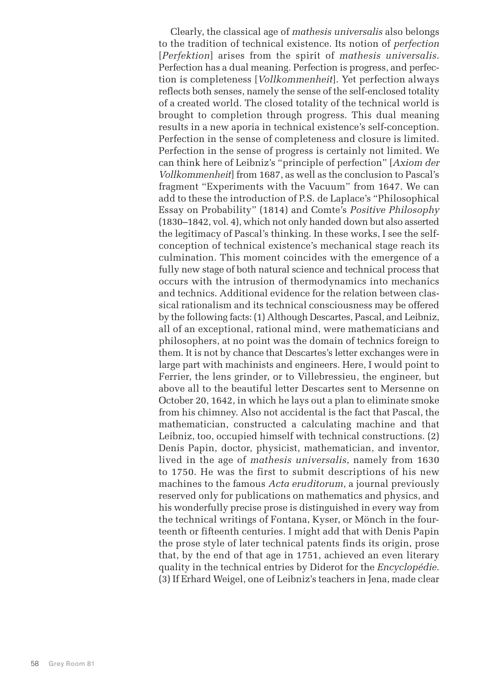Clearly, the classical age of *mathesis universalis* also belongs to the tradition of technical existence. Its notion of *perfection* [*Perfektion*] arises from the spirit of *mathesis universalis*. Perfection has a dual meaning. Perfection is progress, and perfection is completeness [*Vollkommenheit*]. Yet perfection always reflects both senses, namely the sense of the self-enclosed totality of a created world. The closed totality of the technical world is brought to completion through progress. This dual meaning results in a new aporia in technical existence's self-conception. Perfection in the sense of completeness and closure is limited. Perfection in the sense of progress is certainly not limited. We can think here of Leibniz's "principle of perfection" [*Axiom der Vollkommenheit*] from 1687, as well as the conclusion to Pascal's fragment "Experiments with the Vacuum" from 1647. We can add to these the introduction of P.S. de Laplace's "Philosophical Essay on Probability" (1814) and Comte's *Positive Philosophy* (1830–1842, vol. 4), which not only handed down but also asserted the legitimacy of Pascal's thinking. In these works, I see the selfconception of technical existence's mechanical stage reach its culmination. This moment coincides with the emergence of a fully new stage of both natural science and technical process that occurs with the intrusion of thermodynamics into mechanics and technics. Additional evidence for the relation between classical rationalism and its technical consciousness may be offered by the following facts: (1) Although Descartes, Pascal, and Leibniz, all of an exceptional, rational mind, were mathematicians and philosophers, at no point was the domain of technics foreign to them. It is not by chance that Descartes's letter exchanges were in large part with machinists and engineers. Here, I would point to Ferrier, the lens grinder, or to Villebressieu, the engineer, but above all to the beautiful letter Descartes sent to Mersenne on October 20, 1642, in which he lays out a plan to eliminate smoke from his chimney. Also not accidental is the fact that Pascal, the mathematician, constructed a calculating machine and that Leibniz, too, occupied himself with technical constructions. (2) Denis Papin, doctor, physicist, mathematician, and inventor, lived in the age of *mathesis universalis*, namely from 1630 to 1750. He was the first to submit descriptions of his new machines to the famous *Acta eruditorum*, a journal previously reserved only for publications on mathematics and physics, and his wonderfully precise prose is distinguished in every way from the technical writings of Fontana, Kyser, or Mönch in the fourteenth or fifteenth centuries. I might add that with Denis Papin the prose style of later technical patents finds its origin, prose that, by the end of that age in 1751, achieved an even literary quality in the technical entries by Diderot for the *Encyclopédie*. (3) If Erhard Weigel, one of Leibniz's teachers in Jena, made clear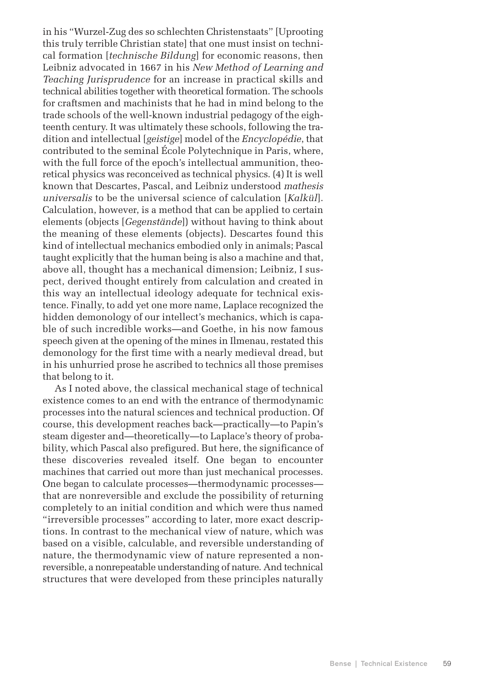in his "Wurzel-Zug des so schlechten Christenstaats" [Uprooting this truly terrible Christian state] that one must insist on technical formation [*technische Bildung*] for economic reasons, then Leibniz advocated in 1667 in his *New Method of Learning and Teaching Jurisprudence* for an increase in practical skills and technical abilities together with theoretical formation. The schools for craftsmen and machinists that he had in mind belong to the trade schools of the well-known industrial pedagogy of the eighteenth century. It was ultimately these schools, following the tradition and intellectual [*geistige*] model of the *Encyclopédie*, that contributed to the seminal École Polytechnique in Paris, where, with the full force of the epoch's intellectual ammunition, theoretical physics was reconceived as technical physics. (4) It is well known that Descartes, Pascal, and Leibniz understood *mathesis universalis* to be the universal science of calculation [*Kalkül*]. Calculation, however, is a method that can be applied to certain elements (objects [*Gegenstände*]) without having to think about the meaning of these elements (objects). Descartes found this kind of intellectual mechanics embodied only in animals; Pascal taught explicitly that the human being is also a machine and that, above all, thought has a mechanical dimension; Leibniz, I suspect, derived thought entirely from calculation and created in this way an intellectual ideology adequate for technical existence. Finally, to add yet one more name, Laplace recognized the hidden demonology of our intellect's mechanics, which is capable of such incredible works—and Goethe, in his now famous speech given at the opening of the mines in Ilmenau, restated this demonology for the first time with a nearly medieval dread, but in his unhurried prose he ascribed to technics all those premises that belong to it.

As I noted above, the classical mechanical stage of technical existence comes to an end with the entrance of thermodynamic processes into the natural sciences and technical production. Of course, this development reaches back—practically—to Papin's steam digester and—theoretically—to Laplace's theory of probability, which Pascal also prefigured. But here, the significance of these discoveries revealed itself. One began to encounter machines that carried out more than just mechanical processes. One began to calculate processes—thermodynamic processes that are nonreversible and exclude the possibility of returning completely to an initial condition and which were thus named "irreversible processes" according to later, more exact descriptions. In contrast to the mechanical view of nature, which was based on a visible, calculable, and reversible understanding of nature, the thermodynamic view of nature represented a nonreversible, a nonrepeatable understanding of nature. And technical structures that were developed from these principles naturally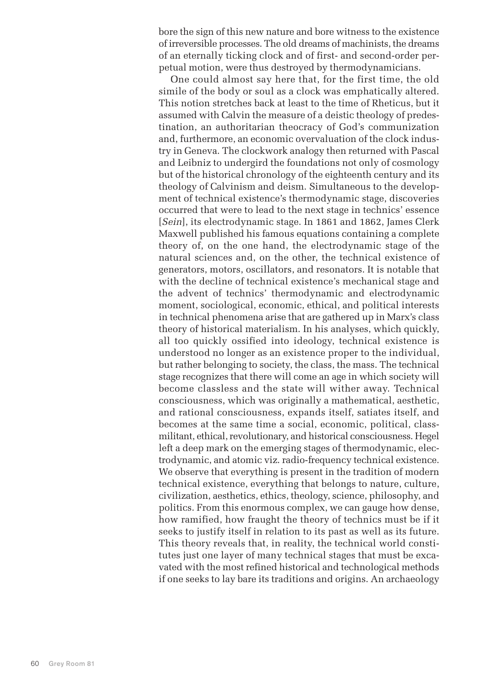bore the sign of this new nature and bore witness to the existence of irreversible processes. The old dreams of machinists, the dreams of an eternally ticking clock and of first- and second-order perpetual motion, were thus destroyed by thermodynamicians.

One could almost say here that, for the first time, the old simile of the body or soul as a clock was emphatically altered. This notion stretches back at least to the time of Rheticus, but it assumed with Calvin the measure of a deistic theology of predestination, an authoritarian theocracy of God's communization and, furthermore, an economic overvaluation of the clock industry in Geneva. The clockwork analogy then returned with Pascal and Leibniz to undergird the foundations not only of cosmology but of the historical chronology of the eighteenth century and its theology of Calvinism and deism. Simultaneous to the development of technical existence's thermodynamic stage, discoveries occurred that were to lead to the next stage in technics' essence [*Sein*], its electrodynamic stage. In 1861 and 1862, James Clerk Maxwell published his famous equations containing a complete theory of, on the one hand, the electrodynamic stage of the natural sciences and, on the other, the technical existence of generators, motors, oscillators, and resonators. It is notable that with the decline of technical existence's mechanical stage and the advent of technics' thermodynamic and electrodynamic moment, sociological, economic, ethical, and political interests in technical phenomena arise that are gathered up in Marx's class theory of historical materialism. In his analyses, which quickly, all too quickly ossified into ideology, technical existence is understood no longer as an existence proper to the individual, but rather belonging to society, the class, the mass. The technical stage recognizes that there will come an age in which society will become classless and the state will wither away. Technical consciousness, which was originally a mathematical, aesthetic, and rational consciousness, expands itself, satiates itself, and becomes at the same time a social, economic, political, classmilitant, ethical, revolutionary, and historical consciousness. Hegel left a deep mark on the emerging stages of thermodynamic, electrodynamic, and atomic viz. radio-frequency technical existence. We observe that everything is present in the tradition of modern technical existence, everything that belongs to nature, culture, civilization, aesthetics, ethics, theology, science, philosophy, and politics. From this enormous complex, we can gauge how dense, how ramified, how fraught the theory of technics must be if it seeks to justify itself in relation to its past as well as its future. This theory reveals that, in reality, the technical world constitutes just one layer of many technical stages that must be excavated with the most refined historical and technological methods if one seeks to lay bare its traditions and origins. An archaeology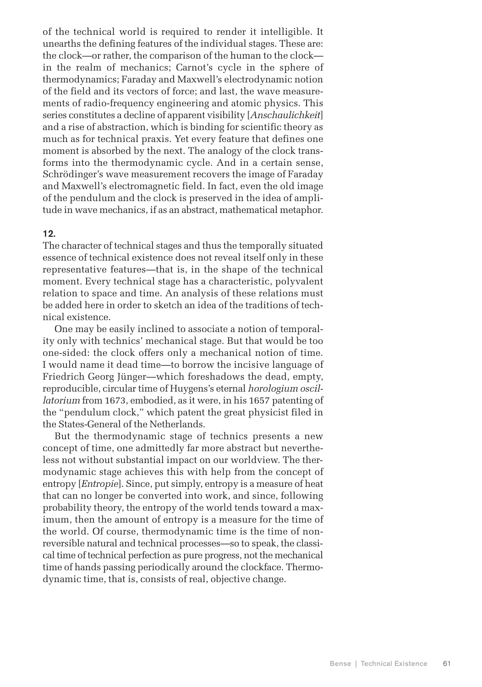of the technical world is required to render it intelligible. It unearths the defining features of the individual stages. These are: the clock—or rather, the comparison of the human to the clock in the realm of mechanics; Carnot's cycle in the sphere of thermodynamics; Faraday and Maxwell's electrodynamic notion of the field and its vectors of force; and last, the wave measurements of radio-frequency engineering and atomic physics. This series constitutes a decline of apparent visibility [*Anschaulichkeit*] and a rise of abstraction, which is binding for scientific theory as much as for technical praxis. Yet every feature that defines one moment is absorbed by the next. The analogy of the clock transforms into the thermodynamic cycle. And in a certain sense, Schrödinger's wave measurement recovers the image of Faraday and Maxwell's electromagnetic field. In fact, even the old image of the pendulum and the clock is preserved in the idea of amplitude in wave mechanics, if as an abstract, mathematical metaphor.

#### **12.**

The character of technical stages and thus the temporally situated essence of technical existence does not reveal itself only in these representative features—that is, in the shape of the technical moment. Every technical stage has a characteristic, polyvalent relation to space and time. An analysis of these relations must be added here in order to sketch an idea of the traditions of technical existence.

One may be easily inclined to associate a notion of temporality only with technics' mechanical stage. But that would be too one-sided: the clock offers only a mechanical notion of time. I would name it dead time—to borrow the incisive language of Friedrich Georg Jünger—which foreshadows the dead, empty, reproducible, circular time of Huygens's eternal *horologium oscillatorium* from 1673, embodied, as it were, in his 1657 patenting of the "pendulum clock," which patent the great physicist filed in the States-General of the Netherlands.

But the thermodynamic stage of technics presents a new concept of time, one admittedly far more abstract but nevertheless not without substantial impact on our worldview. The thermodynamic stage achieves this with help from the concept of entropy [*Entropie*]. Since, put simply, entropy is a measure of heat that can no longer be converted into work, and since, following probability theory, the entropy of the world tends toward a maximum, then the amount of entropy is a measure for the time of the world. Of course, thermodynamic time is the time of nonreversible natural and technical processes—so to speak, the classical time of technical perfection as pure progress, not the mechanical time of hands passing periodically around the clockface. Thermodynamic time, that is, consists of real, objective change.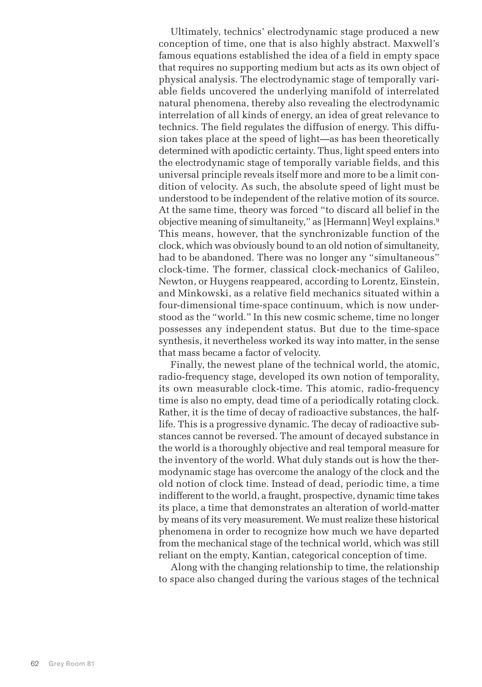Ultimately, technics' electrodynamic stage produced a new conception of time, one that is also highly abstract. Maxwell's famous equations established the idea of a field in empty space that requires no supporting medium but acts as its own object of physical analysis. The electrodynamic stage of temporally variable fields uncovered the underlying manifold of interrelated natural phenomena, thereby also revealing the electrodynamic interrelation of all kinds of energy, an idea of great relevance to technics. The field regulates the diffusion of energy. This diffusion takes place at the speed of light—as has been theoretically determined with apodictic certainty . Thus, light speed enters into the electrodynamic stage of temporally variable fields, and this universal principle reveals itself more and more to be a limit condition of velocity. As such, the absolute speed of light must be understood to be independent of the relative motion of its source. At the same time, theory was forced "to discard all belief in the objective meaning of simultaneity," as [Hermann] Weyl explains.9 This means, however, that the synchronizable function of the clock, which was obviously bound to an old notion of simultaneity, had to be abandoned. There was no longer any "simultaneous" clock-time. The former, classical clock-mechanics of Galileo, Newton, or Huygens reappeared, according to Lorentz, Einstein, and Minkowski, as a relative field mechanics situated within a four-dimensional time-space continuum, which is now understood as the "world." In this new cosmic scheme, time no longer possesses any independent status. But due to the time-space synthesis, it nevertheless worked its way into matter, in the sense that mass became a factor of velocity.

Finally, the newest plane of the technical world, the atomic, radio-frequency stage, developed its own notion of temporality, its own measurable clock-time. This atomic, radio-frequency time is also no empty, dead time of a periodically rotating clock. Rather, it is the time of decay of radioactive substances, the halflife. This is a progressive dynamic. The decay of radioactive substances cannot be reversed. The amount of decayed substance in the world is a thoroughly objective and real temporal measure for the inventory of the world. What duly stands out is how the thermodynamic stage has overcome the analogy of the clock and the old notion of clock time. Instead of dead, periodic time, a time indifferent to the world, a fraught, prospective, dynamic time takes its place, a time that demonstrates an alteration of world-matter by means of its very measurement. We must realize these historical phenomena in order to recognize how much we have departed from the mechanical stage of the technical world, which was still reliant on the empty, Kantian, categorical conception of time.

Along with the changing relationship to time, the relationship to space also changed during the various stages of the technical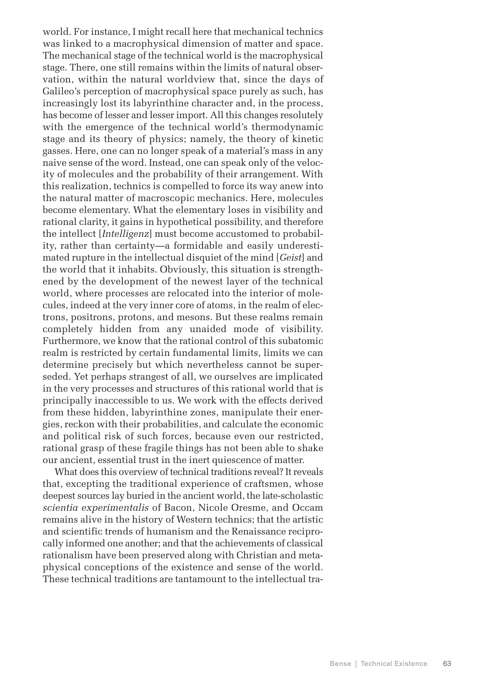world. For instance, I might recall here that mechanical technics was linked to a macrophysical dimension of matter and space. The mechanical stage of the technical world is the macrophysical stage. There, one still remains within the limits of natural observation, within the natural worldview that, since the days of Galileo's perception of macrophysical space purely as such, has increasingly lost its labyrinthine character and, in the process, has become of lesser and lesser import. All this changes resolutely with the emergence of the technical world's thermodynamic stage and its theory of physics; namely, the theory of kinetic gasses. Here, one can no longer speak of a material's mass in any naive sense of the word. Instead, one can speak only of the velocity of molecules and the probability of their arrangement. With this realization, technics is compelled to force its way anew into the natural matter of macroscopic mechanics. Here, molecules become elementary. What the elementary loses in visibility and rational clarity, it gains in hypothetical possibility, and therefore the intellect [*Intelligenz*] must become accustomed to probability, rather than certainty—a formidable and easily underestimated rupture in the intellectual disquiet of the mind [*Geist*] and the world that it inhabits. Obviously, this situation is strengthened by the development of the newest layer of the technical world, where processes are relocated into the interior of molecules, indeed at the very inner core of atoms, in the realm of electrons, positrons, protons, and mesons. But these realms remain completely hidden from any unaided mode of visibility. Furthermore, we know that the rational control of this subatomic realm is restricted by certain fundamental limits, limits we can determine precisely but which nevertheless cannot be superseded. Yet perhaps strangest of all, we ourselves are implicated in the very processes and structures of this rational world that is principally inaccessible to us. We work with the effects derived from these hidden, labyrinthine zones, manipulate their energies, reckon with their probabilities, and calculate the economic and political risk of such forces, because even our restricted, rational grasp of these fragile things has not been able to shake our ancient, essential trust in the inert quiescence of matter.

What does this overview of technical traditions reveal? It reveals that, excepting the traditional experience of craftsmen, whose deepest sources lay buried in the ancient world, the late-scholastic *scientia experimentalis* of Bacon, Nicole Oresme, and Occam remains alive in the history of Western technics; that the artistic and scientific trends of humanism and the Renaissance reciprocally informed one another; and that the achievements of classical rationalism have been preserved along with Christian and metaphysical conceptions of the existence and sense of the world. These technical traditions are tantamount to the intellectual tra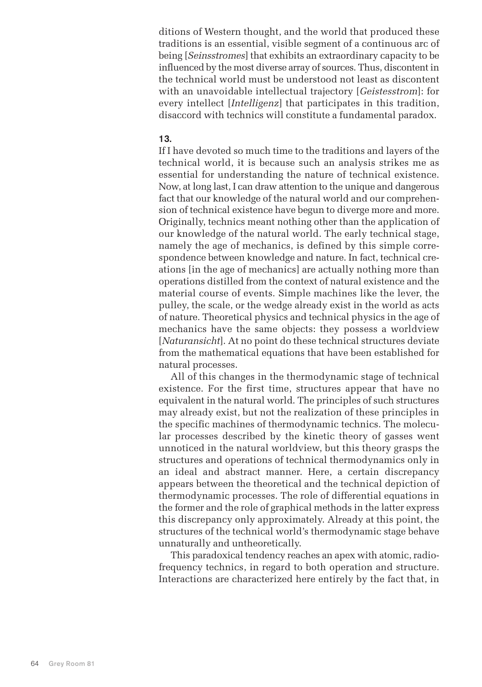ditions of Western thought, and the world that produced these traditions is an essential, visible segment of a continuous arc of being [*Seinsstromes*] that exhibits an extraordinary capacity to be influenced by the most diverse array of sources. Thus, discontent in the technical world must be understood not least as discontent with an unavoidable intellectual trajectory [*Geistesstrom*]: for every intellect [*Intelligenz*] that participates in this tradition, disaccord with technics will constitute a fundamental paradox.

#### **13.**

If I have devoted so much time to the traditions and layers of the technical world, it is because such an analysis strikes me as essential for understanding the nature of technical existence. Now, at long last, I can draw attention to the unique and dangerous fact that our knowledge of the natural world and our comprehension of technical existence have begun to diverge more and more. Originally, technics meant nothing other than the application of our knowledge of the natural world. The early technical stage, namely the age of mechanics, is defined by this simple correspondence between knowledge and nature. In fact, technical creations [in the age of mechanics] are actually nothing more than operations distilled from the context of natural existence and the material course of events. Simple machines like the lever, the pulley, the scale, or the wedge already exist in the world as acts of nature. Theoretical physics and technical physics in the age of mechanics have the same objects: they possess a worldview [*Naturansicht*]. At no point do these technical structures deviate from the mathematical equations that have been established for natural processes.

All of this changes in the thermodynamic stage of technical existence. For the first time, structures appear that have no equivalent in the natural world. The principles of such structures may already exist, but not the realization of these principles in the specific machines of thermodynamic technics. The molecular processes described by the kinetic theory of gasses went unnoticed in the natural worldview, but this theory grasps the structures and operations of technical thermodynamics only in an ideal and abstract manner. Here, a certain discrepancy appears between the theoretical and the technical depiction of thermodynamic processes. The role of differential equations in the former and the role of graphical methods in the latter express this discrepancy only approximately. Already at this point, the structures of the technical world's thermodynamic stage behave unnaturally and untheoretically.

This paradoxical tendency reaches an apex with atomic, radiofrequency technics, in regard to both operation and structure. Interactions are characterized here entirely by the fact that, in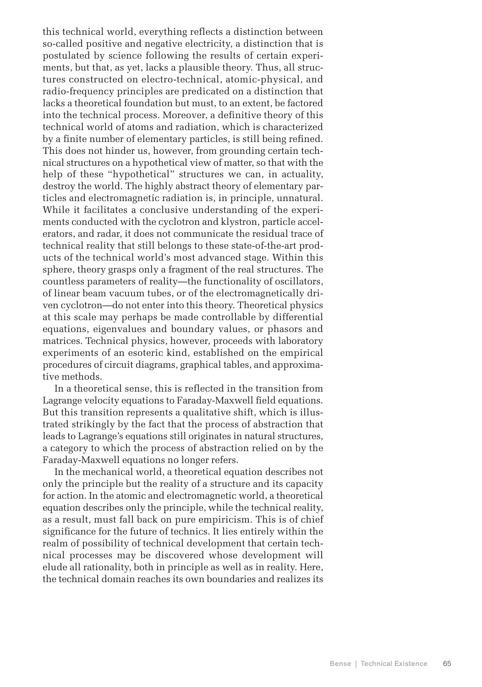this technical world, everything reflects a distinction between so-called positive and negative electricity, a distinction that is postulated by science following the results of certain experiments, but that, as yet, lacks a plausible theory. Thus, all structures constructed on electro-technical, atomic-physical, and radio-frequency principles are predicated on a distinction that lacks a theoretical foundation but must, to an extent, be factored into the technical process. Moreover, a definitive theory of this technical world of atoms and radiation, which is characterized by a finite number of elementary particles, is still being refined. This does not hinder us, however, from grounding certain technical structures on a hypothetical view of matter, so that with the help of these "hypothetical" structures we can, in actuality, destroy the world. The highly abstract theory of elementary particles and electromagnetic radiation is, in principle, unnatural. While it facilitates a conclusive understanding of the experiments conducted with the cyclotron and klystron, particle accelerators, and radar, it does not communicate the residual trace of technical reality that still belongs to these state-of-the-art products of the technical world's most advanced stage. Within this sphere, theory grasps only a fragment of the real structures. The countless parameters of reality—the functionality of oscillators, of linear beam vacuum tubes, or of the electromagnetically driven cyclotron—do not enter into this theory. Theoretical physics at this scale may perhaps be made controllable by differential equations, eigenvalues and boundary values, or phasors and matrices. Technical physics, however, proceeds with laboratory experiments of an esoteric kind, established on the empirical procedures of circuit diagrams, graphical tables, and approximative methods.

In a theoretical sense, this is reflected in the transition from Lagrange velocity equations to Faraday-Maxwell field equations. But this transition represents a qualitative shift, which is illustrated strikingly by the fact that the process of abstraction that leads to Lagrange's equations still originates in natural structures, a category to which the process of abstraction relied on by the Faraday-Maxwell equations no longer refers.

In the mechanical world, a theoretical equation describes not only the principle but the reality of a structure and its capacity for action. In the atomic and electromagnetic world, a theoretical equation describes only the principle, while the technical reality, as a result, must fall back on pure empiricism. This is of chief significance for the future of technics. It lies entirely within the realm of possibility of technical development that certain technical processes may be discovered whose development will elude all rationality, both in principle as well as in reality. Here, the technical domain reaches its own boundaries and realizes its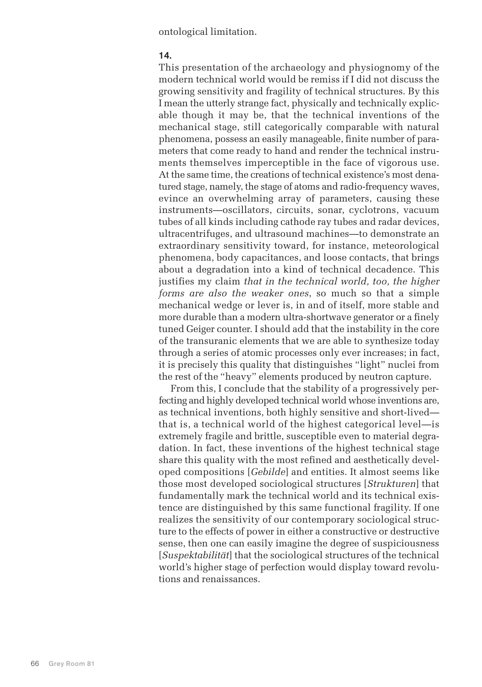ontological limitation.

#### **14.**

This presentation of the archaeology and physiognomy of the modern technical world would be remiss if I did not discuss the growing sensitivity and fragility of technical structures. By this I mean the utterly strange fact, physically and technically explicable though it may be, that the technical inventions of the mechanical stage, still categorically comparable with natural phenomena, possess an easily manageable, finite number of parameters that come ready to hand and render the technical instruments themselves imperceptible in the face of vigorous use. At the same time, the creations of technical existence's most denatured stage, namely, the stage of atoms and radio-frequency waves, evince an overwhelming array of parameters, causing these instruments—oscillators, circuits, sonar, cyclotrons, vacuum tubes of all kinds including cathode ray tubes and radar devices, ultracentrifuges, and ultrasound machines—to demonstrate an extraordinary sensitivity toward, for instance, meteorological phenomena, body capacitances, and loose contacts, that brings about a degradation into a kind of technical decadence. This justifies my claim *that in the technical world, too, the higher forms are also the weaker ones*, so much so that a simple mechanical wedge or lever is, in and of itself, more stable and more durable than a modern ultra-shortwave generator or a finely tuned Geiger counter. I should add that the instability in the core of the transuranic elements that we are able to synthesize today through a series of atomic processes only ever increases; in fact, it is precisely this quality that distinguishes "light" nuclei from the rest of the "heavy" elements produced by neutron capture.

From this, I conclude that the stability of a progressively perfecting and highly developed technical world whose inventions are, as technical inventions, both highly sensitive and short-lived that is, a technical world of the highest categorical level—is extremely fragile and brittle, susceptible even to material degradation. In fact, these inventions of the highest technical stage share this quality with the most refined and aesthetically developed compositions [*Gebilde*] and entities. It almost seems like those most developed sociological structures [*Strukturen*] that fundamentally mark the technical world and its technical existence are distinguished by this same functional fragility. If one realizes the sensitivity of our contemporary sociological structure to the effects of power in either a constructive or destructive sense, then one can easily imagine the degree of suspiciousness [*Suspektabilität*] that the sociological structures of the technical world's higher stage of perfection would display toward revolutions and renaissances.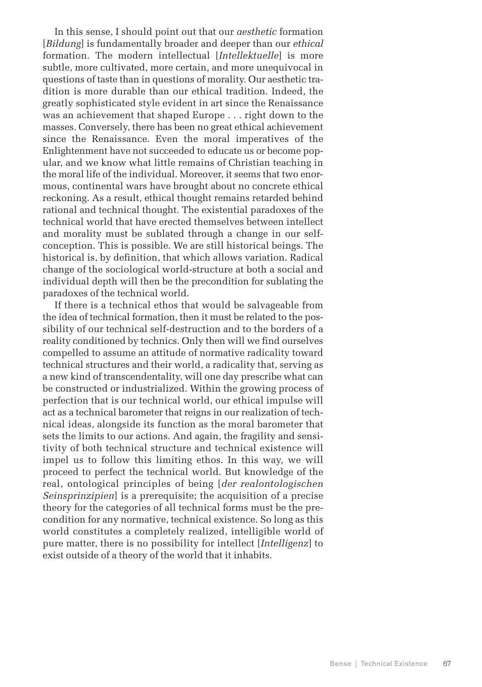In this sense, I should point out that our *aesthetic* formation [*Bildung*] is fundamentally broader and deeper than our *ethical* formation. The modern intellectual [*Intellektuelle*] is more subtle, more cultivated, more certain, and more unequivocal in questions of taste than in questions of morality. Our aesthetic tradition is more durable than our ethical tradition. Indeed, the greatly sophisticated style evident in art since the Renaissance was an achievement that shaped Europe . . . right down to the masses. Conversely, there has been no great ethical achievement since the Renaissance. Even the moral imperatives of the Enlightenment have not succeeded to educate us or become popular, and we know what little remains of Christian teaching in the moral life of the individual. Moreover, it seems that two enormous, continental wars have brought about no concrete ethical reckoning. As a result, ethical thought remains retarded behind rational and technical thought. The existential paradoxes of the technical world that have erected themselves between intellect and morality must be sublated through a change in our selfconception. This is possible. We are still historical beings. The historical is, by definition, that which allows variation. Radical change of the sociological world-structure at both a social and individual depth will then be the precondition for sublating the paradoxes of the technical world.

If there is a technical ethos that would be salvageable from the idea of technical formation, then it must be related to the possibility of our technical self-destruction and to the borders of a reality conditioned by technics. Only then will we find ourselves compelled to assume an attitude of normative radicality toward technical structures and their world, a radicality that, serving as a new kind of transcendentality, will one day prescribe what can be constructed or industrialized. Within the growing process of perfection that is our technical world, our ethical impulse will act as a technical barometer that reigns in our realization of technical ideas, alongside its function as the moral barometer that sets the limits to our actions. And again, the fragility and sensitivity of both technical structure and technical existence will impel us to follow this limiting ethos. In this way, we will proceed to perfect the technical world. But knowledge of the real, ontological principles of being [*der realontologischen Seinsprinzipien*] is a prerequisite; the acquisition of a precise theory for the categories of all technical forms must be the precondition for any normative, technical existence. So long as this world constitutes a completely realized, intelligible world of pure matter, there is no possibility for intellect [*Intelligenz*] to exist outside of a theory of the world that it inhabits.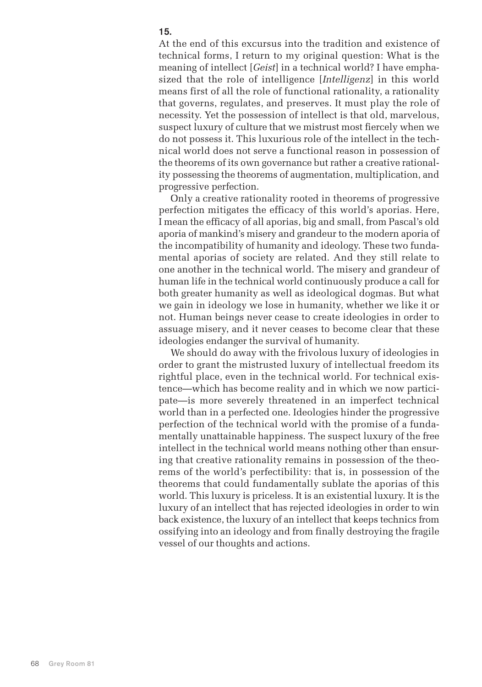### At the end of this excursus into the tradition and existence of technical forms, I return to my original question: What is the meaning of intellect [*Geist*] in a technical world? I have emphasized that the role of intelligence [*Intelligenz*] in this world means first of all the role of functional rationality, a rationality that governs, regulates, and preserves. It must play the role of necessity. Yet the possession of intellect is that old, marvelous, suspect luxury of culture that we mistrust most fiercely when we do not possess it. This luxurious role of the intellect in the technical world does not serve a functional reason in possession of the theorems of its own governance but rather a creative rationality possessing the theorems of augmentation, multiplication, and progressive perfection.

Only a creative rationality rooted in theorems of progressive perfection mitigates the efficacy of this world's aporias. Here, I mean the efficacy of all aporias, big and small, from Pascal's old aporia of mankind's misery and grandeur to the modern aporia of the incompatibility of humanity and ideology. These two fundamental aporias of society are related. And they still relate to one another in the technical world. The misery and grandeur of human life in the technical world continuously produce a call for both greater humanity as well as ideological dogmas. But what we gain in ideology we lose in humanity, whether we like it or not. Human beings never cease to create ideologies in order to assuage misery, and it never ceases to become clear that these ideologies endanger the survival of humanity.

We should do away with the frivolous luxury of ideologies in order to grant the mistrusted luxury of intellectual freedom its rightful place, even in the technical world. For technical existence—which has become reality and in which we now participate—is more severely threatened in an imperfect technical world than in a perfected one. Ideologies hinder the progressive perfection of the technical world with the promise of a fundamentally unattainable happiness. The suspect luxury of the free intellect in the technical world means nothing other than ensuring that creative rationality remains in possession of the theorems of the world's perfectibility: that is, in possession of the theorems that could fundamentally sublate the aporias of this world. This luxury is priceless. It is an existential luxury. It is the luxury of an intellect that has rejected ideologies in order to win back existence, the luxury of an intellect that keeps technics from ossifying into an ideology and from finally destroying the fragile vessel of our thoughts and actions.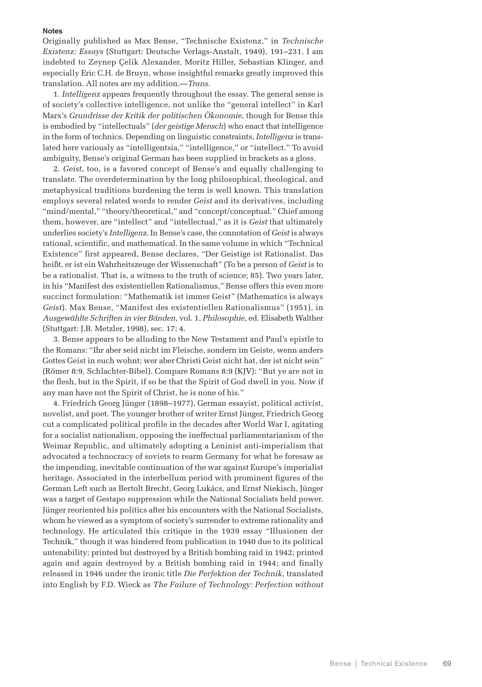#### **Notes**

Originally published as Max Bense, "Technische Existenz," in *Technische Existenz: Essays* (Stuttgart: Deutsche Verlags-Anstalt, 1949), 191–231. I am indebted to Zeynep Çelik Alexander, Moritz Hiller, Sebastian Klinger, and especially Eric C.H. de Bruyn, whose insightful remarks greatly improved this translation. All notes are my addition.—*Trans*.

1. *Intelligenz* appears frequently throughout the essay. The general sense is of society's collective intelligence, not unlike the "general intellect" in Karl Marx's *Grundrisse der Kritik der politischen Ökonomie*, though for Bense this is embodied by "intellectuals" (*der geistige Mensch*) who enact that intelligence in the form of technics. Depending on linguistic constraints, *Intelligenz* is translated here variously as "intelligentsia," "intelligence," or "intellect." To avoid ambiguity, Bense's original German has been supplied in brackets as a gloss*.*

2. *Geist*, too, is a favored concept of Bense's and equally challenging to translate. The overdetermination by the long philosophical, theological, and metaphysical traditions burdening the term is well known. This translation employs several related words to render *Geist* and its derivatives, including "mind/mental," "theory/theoretical," and "concept/conceptual." Chief among them, however, are "intellect" and "intellectual," as it is *Geist* that ultimately underlies society's *Intelligenz*. In Bense's case, the connotation of *Geist* is always rational, scientific, and mathematical. In the same volume in which "Technical Existence" first appeared, Bense declares, "Der Geistige ist Rationalist. Das heißt, er ist ein Wahrheitszeuge der Wissenschaft" (To be a person of *Geist* is to be a rationalist. That is, a witness to the truth of science; 85). Two years later, in his "Manifest des existentiellen Rationalismus," Bense offers this even more succinct formulation: "Mathematik ist immer Geist" (Mathematics is always *Geist*). Max Bense, "Manifest des existentiellen Rationalismus" (1951), in *Ausgewählte Schriften in vier Bänden*, vol. 1, *Philosophie*, ed. Elisabeth Walther (Stuttgart: J.B. Metzler, 1998), sec. 17; 4.

3. Bense appears to be alluding to the New Testament and Paul's epistle to the Romans: "Ihr aber seid nicht im Fleische, sondern im Geiste, wenn anders Gottes Geist in euch wohnt; wer aber Christi Geist nicht hat, der ist nicht sein" (Römer 8:9, Schlachter-Bibel). Compare Romans 8:9 (KJV): "But ye are not in the flesh, but in the Spirit, if so be that the Spirit of God dwell in you. Now if any man have not the Spirit of Christ, he is none of his."

4. Friedrich Georg Jünger (1898–1977), German essayist, political activist, novelist, and poet. The younger brother of writer Ernst Jünger, Friedrich Georg cut a complicated political profile in the decades after World War I, agitating for a socialist nationalism, opposing the ineffectual parliamentarianism of the Weimar Republic, and ultimately adopting a Leninist anti-imperialism that advocated a technocracy of soviets to rearm Germany for what he foresaw as the impending, inevitable continuation of the war against Europe's imperialist heritage. Associated in the interbellum period with prominent figures of the German Left such as Bertolt Brecht, Georg Lukács, and Ernst Niekisch, Jünger was a target of Gestapo suppression while the National Socialists held power. Jünger reoriented his politics after his encounters with the National Socialists, whom he viewed as a symptom of society's surrender to extreme rationality and technology. He articulated this critique in the 1939 essay "Illusionen der Technik," though it was hindered from publication in 1940 due to its political untenability; printed but destroyed by a British bombing raid in 1942; printed again and again destroyed by a British bombing raid in 1944; and finally released in 1946 under the ironic title *Die Perfektion der Technik*, translated into English by F.D. Wieck as *The Failure of Technology: Perfection without*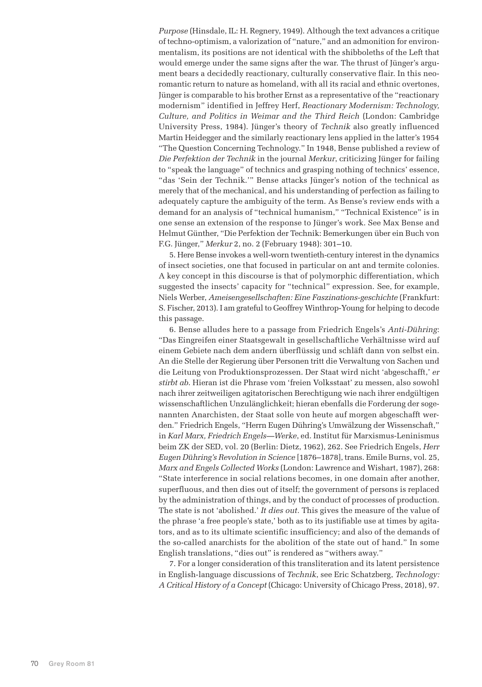*Purpose* (Hinsdale, IL: H. Regnery, 1949). Although the text advances a critique of techno-optimism, a valorization of "nature," and an admonition for environmentalism, its positions are not identical with the shibboleths of the Left that would emerge under the same signs after the war. The thrust of Jünger's argument bears a decidedly reactionary, culturally conservative flair. In this neoromantic return to nature as homeland, with all its racial and ethnic overtones, Jünger is comparable to his brother Ernst as a representative of the "reactionary modernism" identified in Jeffrey Herf, *Reactionary Modernism: Technology, Culture, and Politics in Weimar and the Third Reich* (London: Cambridge University Press, 1984). Jünger's theory of *Technik* also greatly influenced Martin Heidegger and the similarly reactionary lens applied in the latter's 1954 "The Question Concerning Technology." In 1948, Bense published a review of *Die Perfektion der Technik* in the journal *Merkur*, criticizing Jünger for failing to "speak the language" of technics and grasping nothing of technics' essence, "das 'Sein der Technik.'" Bense attacks Jünger's notion of the technical as merely that of the mechanical, and his understanding of perfection as failing to adequately capture the ambiguity of the term. As Bense's review ends with a demand for an analysis of "technical humanism," "Technical Existence" is in one sense an extension of the response to Jünger's work. See Max Bense and Helmut Günther, "Die Perfektion der Technik: Bemerkungen über ein Buch von F.G. Jünger," *Merkur* 2, no. 2 (February 1948): 301–10.

5. Here Bense invokes a well-worn twentieth-century interest in the dynamics of insect societies, one that focused in particular on ant and termite colonies. A key concept in this discourse is that of polymorphic differentiation, which suggested the insects' capacity for "technical" expression. See, for example, Niels Werber, *Ameisengesellschaften: Eine Faszinations-geschichte* (Frankfurt: S. Fischer, 2013). I am grateful to Geoffrey Winthrop-Young for helping to decode this passage.

6. Bense alludes here to a passage from Friedrich Engels's *Anti-Dühring*: "Das Eingreifen einer Staatsgewalt in gesellschaftliche Verhältnisse wird auf einem Gebiete nach dem andern überflüssig und schläft dann von selbst ein. An die Stelle der Regierung über Personen tritt die Verwaltung von Sachen und die Leitung von Produktionsprozessen. Der Staat wird nicht 'abgeschafft,' *er stirbt ab*. Hieran ist die Phrase vom 'freien Volksstaat' zu messen, also sowohl nach ihrer zeitweiligen agitatorischen Berechtigung wie nach ihrer endgültigen wissenschaftlichen Unzulänglichkeit; hieran ebenfalls die Forderung der sogenannten Anarchisten, der Staat solle von heute auf morgen abgeschafft werden." Friedrich Engels, "Herrn Eugen Dühring's Umwälzung der Wissenschaft," in *Karl Marx, Friedrich Engels—Werke*, ed. Institut für Marxismus-Leninismus beim ZK der SED, vol. 20 (Berlin: Dietz, 1962), 262. See Friedrich Engels, *Herr Eugen Dühring's Revolution in Science* [1876–1878], trans. Emile Burns, vol. 25, *Marx and Engels Collected Works* (London: Lawrence and Wishart, 1987), 268: "State interference in social relations becomes, in one domain after another, superfluous, and then dies out of itself; the government of persons is replaced by the administration of things, and by the conduct of processes of production. The state is not 'abolished.' *It dies out.* This gives the measure of the value of the phrase 'a free people's state,' both as to its justifiable use at times by agitators, and as to its ultimate scientific insufficiency; and also of the demands of the so-called anarchists for the abolition of the state out of hand." In some English translations, "dies out" is rendered as "withers away."

7. For a longer consideration of this transliteration and its latent persistence in English-language discussions of *Technik*, see Eric Schatzberg, *Technology: A Critical History of a Concept* (Chicago: University of Chicago Press, 2018), 97.